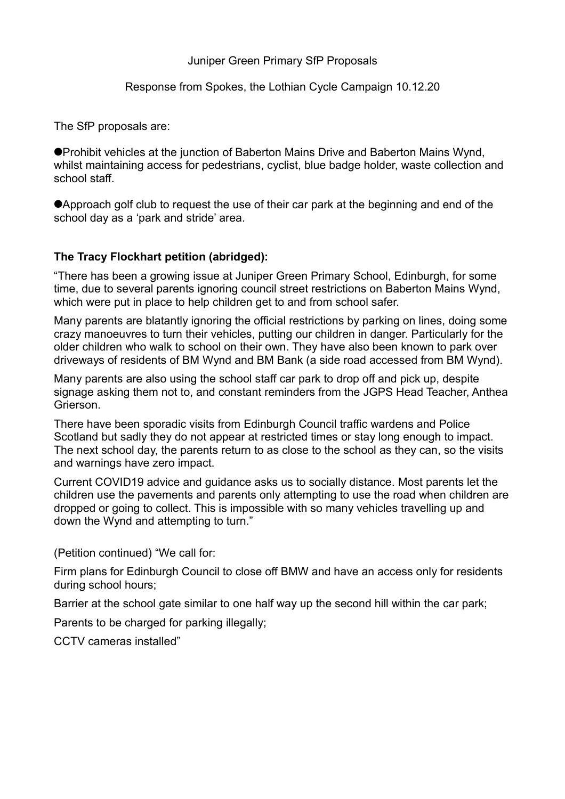## Juniper Green Primary SfP Proposals

## Response from Spokes, the Lothian Cycle Campaign 10.12.20

The SfP proposals are:

Prohibit vehicles at the junction of Baberton Mains Drive and Baberton Mains Wynd, whilst maintaining access for pedestrians, cyclist, blue badge holder, waste collection and school staff.

Approach golf club to request the use of their car park at the beginning and end of the school day as a 'park and stride' area.

## **The Tracy Flockhart petition (abridged):**

"There has been a growing issue at Juniper Green Primary School, Edinburgh, for some time, due to several parents ignoring council street restrictions on Baberton Mains Wynd, which were put in place to help children get to and from school safer.

Many parents are blatantly ignoring the official restrictions by parking on lines, doing some crazy manoeuvres to turn their vehicles, putting our children in danger. Particularly for the older children who walk to school on their own. They have also been known to park over driveways of residents of BM Wynd and BM Bank (a side road accessed from BM Wynd).

Many parents are also using the school staff car park to drop off and pick up, despite signage asking them not to, and constant reminders from the JGPS Head Teacher, Anthea Grierson.

There have been sporadic visits from Edinburgh Council traffic wardens and Police Scotland but sadly they do not appear at restricted times or stay long enough to impact. The next school day, the parents return to as close to the school as they can, so the visits and warnings have zero impact.

Current COVID19 advice and guidance asks us to socially distance. Most parents let the children use the pavements and parents only attempting to use the road when children are dropped or going to collect. This is impossible with so many vehicles travelling up and down the Wynd and attempting to turn."

(Petition continued) "We call for:

Firm plans for Edinburgh Council to close off BMW and have an access only for residents during school hours;

Barrier at the school gate similar to one half way up the second hill within the car park;

Parents to be charged for parking illegally;

CCTV cameras installed"